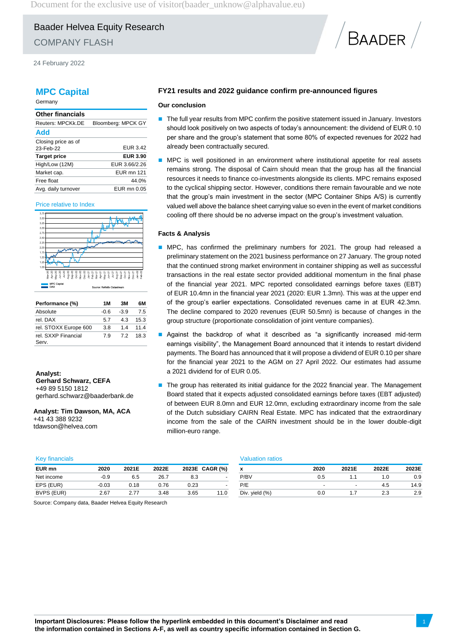Document for the exclusive use of visitor (baader\_unknow@alphavalue.eu)

# Baader Helvea Equity Research COMPANY FLASH

24 February 2022

## **MPC Capital**

Germany

| <b>Other financials</b> |                    |
|-------------------------|--------------------|
| Reuters: MPCKk.DE       | Bloomberg: MPCK GY |
| Add                     |                    |
| Closing price as of     |                    |
| 23-Feb-22               | <b>EUR 3.42</b>    |
| <b>Target price</b>     | <b>EUR 3.90</b>    |
| High/Low (12M)          | EUR 3.66/2.26      |
| Market cap.             | <b>EUR mn 121</b>  |
| Free float              | 44.0%              |
| Avg. daily turnover     | EUR mn 0.05        |

#### Price relative to Index



| Performance (%)              | 1 M  | 3M     | 6М   |
|------------------------------|------|--------|------|
| Absolute                     | -0.6 | $-3.9$ | 75   |
| rel. DAX                     | 57   | 43     | 15.3 |
| rel. STOXX Europe 600        | 3.8  | 14     | 11.4 |
| rel. SXXP Financial<br>Serv. | 79   | 72     | 18.3 |

**Analyst: Gerhard Schwarz, CEFA** +49 89 5150 1812 gerhard.schwarz@baaderbank.de

**Analyst: Tim Dawson, MA, ACA** +41 43 388 9232 tdawson@helvea.com

## **FY21 results and 2022 guidance confirm pre-announced figures**

#### **Our conclusion**

■ The full year results from MPC confirm the positive statement issued in January. Investors should look positively on two aspects of today's announcement: the dividend of EUR 0.10 per share and the group's statement that some 80% of expected revenues for 2022 had already been contractually secured.

**BAADER** 

MPC is well positioned in an environment where institutional appetite for real assets remains strong. The disposal of Cairn should mean that the group has all the financial resources it needs to finance co-investments alongside its clients. MPC remains exposed to the cyclical shipping sector. However, conditions there remain favourable and we note that the group's main investment in the sector (MPC Container Ships A/S) is currently valued well above the balance sheet carrying value so even in the event of market conditions cooling off there should be no adverse impact on the group's investment valuation.

#### **Facts & Analysis**

- MPC, has confirmed the preliminary numbers for 2021. The group had released a preliminary statement on the 2021 business performance on 27 January. The group noted that the continued strong market environment in container shipping as well as successful transactions in the real estate sector provided additional momentum in the final phase of the financial year 2021. MPC reported consolidated earnings before taxes (EBT) of EUR 10.4mn in the financial year 2021 (2020: EUR 1.3mn). This was at the upper end of the group's earlier expectations. Consolidated revenues came in at EUR 42.3mn. The decline compared to 2020 revenues (EUR 50.5mn) is because of changes in the group structure (proportionate consolidation of joint venture companies).
- Against the backdrop of what it described as "a significantly increased mid-term earnings visibility", the Management Board announced that it intends to restart dividend payments. The Board has announced that it will propose a dividend of EUR 0.10 per share for the financial year 2021 to the AGM on 27 April 2022. Our estimates had assume a 2021 dividend for of EUR 0.05.
- The group has reiterated its initial guidance for the 2022 financial year. The Management Board stated that it expects adjusted consolidated earnings before taxes (EBT adjusted) of between EUR 8.0mn and EUR 12.0mn, excluding extraordinary income from the sale of the Dutch subsidiary CAIRN Real Estate. MPC has indicated that the extraordinary income from the sale of the CAIRN investment should be in the lower double-digit million-euro range.

| <b>Key financials</b> | <b>Valuation ratios</b> |       |       |                |                |                   |  |
|-----------------------|-------------------------|-------|-------|----------------|----------------|-------------------|--|
| EUR mn                | 2020                    | 2021E | 2022E | 2023E CAGR (%) |                |                   |  |
| Net income            | $-0.9$                  | 6.5   | 26.7  | 8.3            | $\blacksquare$ | P/BV              |  |
| EPS (EUR)             | $-0.03$                 | 0.18  | 0.76  | 0.23           | $\blacksquare$ | P/F               |  |
| BVPS (EUR)            | 2.67                    |       | 3.48  | 3.65           | 11.0           | Div. vield $(% )$ |  |

| EUR mn            | 2020    | 2021E | 2022E |      | 2023E CAGR (%) | x              | 2020 | 2021E | 2022E | 2023E |
|-------------------|---------|-------|-------|------|----------------|----------------|------|-------|-------|-------|
| Net income        | -0.9    | 6.5   | 26.7  | 8.3  |                | P/BV           | U.O  |       | 0. ،  | 0.9   |
| EPS (EUR)         | $-0.03$ | 0.18  | ง.76  | 0.23 |                | P/E            |      | -     | 4.5   | 14.9  |
| <b>BVPS (EUR)</b> | 2.67    | 2.77  | 3.48  | 3.65 | 11.0           | Div. yield (%) | 0.0  |       | 2.3   | 2.9   |

Source: Company data, Baader Helvea Equity Research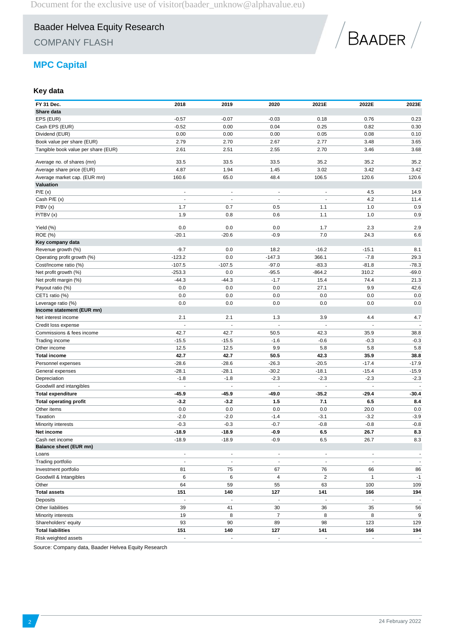COMPANY FLASH



# **MPC Capital**

## **Key data**

| FY 31 Dec.<br>Share data            | 2018                     | 2019                     | 2020                     | 2021E                    | 2022E                    | 2023E                    |
|-------------------------------------|--------------------------|--------------------------|--------------------------|--------------------------|--------------------------|--------------------------|
| EPS (EUR)                           | $-0.57$                  | $-0.07$                  | $-0.03$                  | 0.18                     | 0.76                     | 0.23                     |
| Cash EPS (EUR)                      | $-0.52$                  | 0.00                     | 0.04                     | 0.25                     | 0.82                     | 0.30                     |
| Dividend (EUR)                      | 0.00                     | 0.00                     | 0.00                     | 0.05                     | 0.08                     | 0.10                     |
| Book value per share (EUR)          | 2.79                     | 2.70                     | 2.67                     | 2.77                     | 3.48                     | 3.65                     |
|                                     |                          |                          |                          |                          |                          |                          |
| Tangible book value per share (EUR) | 2.61                     | 2.51                     | 2.55                     | 2.70                     | 3.46                     | 3.68                     |
| Average no. of shares (mn)          | 33.5                     | 33.5                     | 33.5                     | 35.2                     | 35.2                     | 35.2                     |
| Average share price (EUR)           | 4.87                     | 1.94                     | 1.45                     | 3.02                     | 3.42                     | 3.42                     |
| Average market cap. (EUR mn)        | 160.6                    | 65.0                     | 48.4                     | 106.5                    | 120.6                    | 120.6                    |
| Valuation                           |                          |                          |                          |                          |                          |                          |
| P/E(x)                              | $\overline{a}$           | $\overline{\phantom{a}}$ | $\overline{a}$           | $\overline{a}$           | 4.5                      | 14.9                     |
| Cash P/E (x)                        |                          |                          |                          |                          | 4.2                      | 11.4                     |
| P/BV(x)                             | 1.7                      | 0.7                      | 0.5                      | 1.1                      | 1.0                      | 0.9                      |
| P/TBV(x)                            | 1.9                      | 0.8                      | 0.6                      | 1.1                      | 1.0                      | 0.9                      |
| Yield (%)                           | 0.0                      | 0.0                      | 0.0                      | 1.7                      | 2.3                      | 2.9                      |
| <b>ROE</b> (%)                      | $-20.1$                  | $-20.6$                  | $-0.9$                   | 7.0                      | 24.3                     | 6.6                      |
| Key company data                    |                          |                          |                          |                          |                          |                          |
| Revenue growth (%)                  | $-9.7$                   | 0.0                      | 18.2                     | $-16.2$                  | $-15.1$                  | 8.1                      |
|                                     | $-123.2$                 | 0.0                      | $-147.3$                 | 366.1                    | $-7.8$                   | 29.3                     |
| Operating profit growth (%)         |                          |                          |                          |                          |                          |                          |
| Cost/Income ratio (%)               | $-107.5$                 | $-107.5$                 | $-97.0$                  | $-83.3$                  | $-81.8$                  | $-78.3$                  |
| Net profit growth (%)               | $-253.3$                 | 0.0                      | $-95.5$                  | $-864.2$                 | 310.2                    | $-69.0$                  |
| Net profit margin (%)               | $-44.3$                  | $-44.3$                  | $-1.7$                   | 15.4                     | 74.4                     | 21.3                     |
| Payout ratio (%)                    | 0.0                      | 0.0                      | 0.0                      | 27.1                     | 9.9                      | 42.6                     |
| CET1 ratio (%)                      | 0.0                      | 0.0                      | 0.0                      | 0.0                      | 0.0                      | 0.0                      |
| Leverage ratio (%)                  | 0.0                      | 0.0                      | 0.0                      | 0.0                      | 0.0                      | 0.0                      |
| Income statement (EUR mn)           |                          |                          |                          |                          |                          |                          |
| Net interest income                 | 2.1                      | 2.1                      | 1.3<br>Ĭ.                | 3.9                      | 4.4<br>$\sim$            | 4.7                      |
| Credit loss expense                 |                          |                          |                          |                          |                          |                          |
| Commissions & fees income           | 42.7                     | 42.7                     | 50.5                     | 42.3                     | 35.9                     | 38.8                     |
| Trading income                      | $-15.5$                  | $-15.5$                  | $-1.6$                   | $-0.6$                   | $-0.3$                   | $-0.3$                   |
| Other income                        | 12.5                     | 12.5                     | 9.9                      | 5.8                      | 5.8                      | 5.8                      |
| <b>Total income</b>                 | 42.7                     | 42.7                     | 50.5                     | 42.3                     | 35.9                     | 38.8                     |
| Personnel expenses                  | $-28.6$                  | $-28.6$                  | $-26.3$                  | $-20.5$                  | $-17.4$                  | $-17.9$                  |
| General expenses                    | $-28.1$                  | $-28.1$                  | $-30.2$                  | $-18.1$                  | $-15.4$                  | $-15.9$                  |
| Depreciation                        | $-1.8$                   | $-1.8$                   | $-2.3$                   | $-2.3$                   | $-2.3$                   | $-2.3$                   |
| Goodwill and intangibles            | $\blacksquare$           | $\overline{\phantom{a}}$ | $\overline{a}$           | $\overline{a}$           | $\ddot{\phantom{0}}$     | $\sim$                   |
| <b>Total expenditure</b>            | -45.9                    | -45.9                    | -49.0                    | $-35.2$                  | $-29.4$                  | $-30.4$                  |
| <b>Total operating profit</b>       | $-3.2$                   | $-3.2$                   | 1.5                      | 7.1                      | 6.5                      | 8.4                      |
| Other items                         | 0.0                      | 0.0                      | 0.0                      | 0.0                      | 20.0                     | 0.0                      |
| Taxation                            | $-2.0$                   | $-2.0$                   | $-1.4$                   | $-3.1$                   | $-3.2$                   | $-3.9$                   |
| Minority interests                  | $-0.3$                   | $-0.3$                   | $-0.7$                   | $-0.8$                   | $-0.8$                   | $-0.8$                   |
| Net income                          | $-18.9$                  | $-18.9$                  | $-0.9$                   | 6.5                      | 26.7                     | 8.3                      |
| Cash net income                     | $-18.9$                  | $-18.9$                  | $-0.9$                   | 6.5                      | 26.7                     | 8.3                      |
| <b>Balance sheet (EUR mn)</b>       |                          |                          |                          |                          |                          |                          |
| Loans                               | $\overline{\phantom{m}}$ | $\overline{\phantom{a}}$ | $\overline{\phantom{a}}$ | $\overline{\phantom{a}}$ | $\overline{\phantom{a}}$ | $\overline{\phantom{a}}$ |
| Trading portfolio                   | $\blacksquare$           | $\overline{\phantom{a}}$ | $\overline{\phantom{a}}$ | $\sim$                   | $\blacksquare$           | $\sim$                   |
| Investment portfolio                | 81                       | 75                       | 67                       | 76                       | 66                       | 86                       |
| Goodwill & Intangibles              | 6                        | 6                        | 4                        | $\overline{c}$           | $\mathbf{1}$             | $-1$                     |
| Other                               | 64                       | 59                       | 55                       | 63                       | 100                      | 109                      |
| <b>Total assets</b>                 | 151                      | 140                      | 127                      | 141                      | 166                      | 194                      |
| Deposits                            | $\blacksquare$           | $\overline{a}$           | $\blacksquare$           | $\overline{\phantom{a}}$ | $\Box$                   | $\sim$                   |
| Other liabilities                   | 39                       | 41                       | 30                       | 36                       | 35                       | 56                       |
| Minority interests                  | 19                       | 8                        | $\overline{7}$           | 8                        | 8                        | $\boldsymbol{9}$         |
| Shareholders' equity                | 93                       | 90                       | 89                       | 98                       | 123                      | 129                      |
| <b>Total liabilities</b>            | 151                      | 140                      | 127                      | 141                      | 166                      | 194                      |
| Risk weighted assets                | $\overline{\phantom{a}}$ | $\overline{\phantom{a}}$ | $\overline{\phantom{a}}$ | $\overline{\phantom{a}}$ | ÷,                       | $\blacksquare$           |

Source: Company data, Baader Helvea Equity Research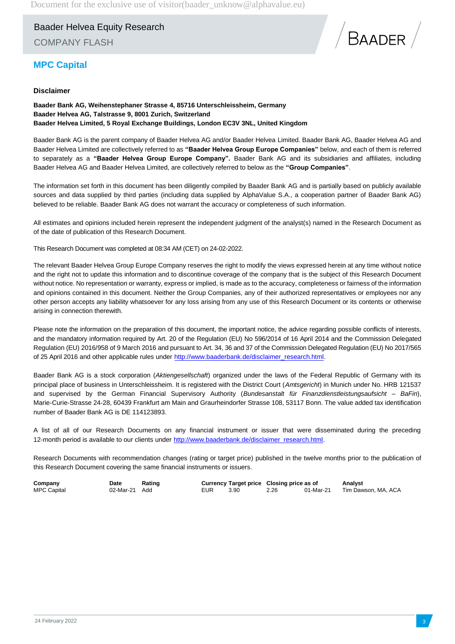Baader Helvea Equity Research COMPANY FLASH



# **MPC Capital**

## **Disclaimer**

**Baader Bank AG, Weihenstephaner Strasse 4, 85716 Unterschleissheim, Germany Baader Helvea AG, Talstrasse 9, 8001 Zurich, Switzerland Baader Helvea Limited, 5 Royal Exchange Buildings, London EC3V 3NL, United Kingdom**

Baader Bank AG is the parent company of Baader Helvea AG and/or Baader Helvea Limited. Baader Bank AG, Baader Helvea AG and Baader Helvea Limited are collectively referred to as **"Baader Helvea Group Europe Companies"** below, and each of them is referred to separately as a **"Baader Helvea Group Europe Company".** Baader Bank AG and its subsidiaries and affiliates, including Baader Helvea AG and Baader Helvea Limited, are collectively referred to below as the **"Group Companies"**.

The information set forth in this document has been diligently compiled by Baader Bank AG and is partially based on publicly available sources and data supplied by third parties (including data supplied by AlphaValue S.A., a cooperation partner of Baader Bank AG) believed to be reliable. Baader Bank AG does not warrant the accuracy or completeness of such information.

All estimates and opinions included herein represent the independent judgment of the analyst(s) named in the Research Document as of the date of publication of this Research Document.

This Research Document was completed at 08:34 AM (CET) on 24-02-2022.

The relevant Baader Helvea Group Europe Company reserves the right to modify the views expressed herein at any time without notice and the right not to update this information and to discontinue coverage of the company that is the subject of this Research Document without notice. No representation or warranty, express or implied, is made as to the accuracy, completeness or fairness of the information and opinions contained in this document. Neither the Group Companies, any of their authorized representatives or employees nor any other person accepts any liability whatsoever for any loss arising from any use of this Research Document or its contents or otherwise arising in connection therewith.

Please note the information on the preparation of this document, the important notice, the advice regarding possible conflicts of interests, and the mandatory information required by Art. 20 of the Regulation (EU) No 596/2014 of 16 April 2014 and the Commission Delegated Regulation (EU) 2016/958 of 9 March 2016 and pursuant to Art. 34, 36 and 37 of the Commission Delegated Regulation (EU) No 2017/565 of 25 April 2016 and other applicable rules under [http://www.baaderbank.de/disclaimer\\_research.html.](http://www.baaderbank.de/disclaimer_research.html)

Baader Bank AG is a stock corporation (*Aktiengesellschaft*) organized under the laws of the Federal Republic of Germany with its principal place of business in Unterschleissheim. It is registered with the District Court (*Amtsgericht*) in Munich under No. HRB 121537 and supervised by the German Financial Supervisory Authority (*Bundesanstalt für Finanzdienstleistungsaufsicht* – *BaFin*), Marie-Curie-Strasse 24-28, 60439 Frankfurt am Main and Graurheindorfer Strasse 108, 53117 Bonn. The value added tax identification number of Baader Bank AG is DE 114123893.

A list of all of our Research Documents on any financial instrument or issuer that were disseminated during the preceding 12-month period is available to our clients under [http://www.baaderbank.de/disclaimer\\_research.html.](http://www.baaderbank.de/disclaimer_research.html)

Research Documents with recommendation changes (rating or target price) published in the twelve months prior to the publication of this Research Document covering the same financial instruments or issuers.

| Company            | Date          | Rating |     | Currency Target price Closing price as of |      |           | Analvst             |
|--------------------|---------------|--------|-----|-------------------------------------------|------|-----------|---------------------|
| <b>MPC Capital</b> | 02-Mar-21 Add |        | EUR | 3.90                                      | 2.26 | 01-Mar-21 | Tim Dawson. MA. ACA |